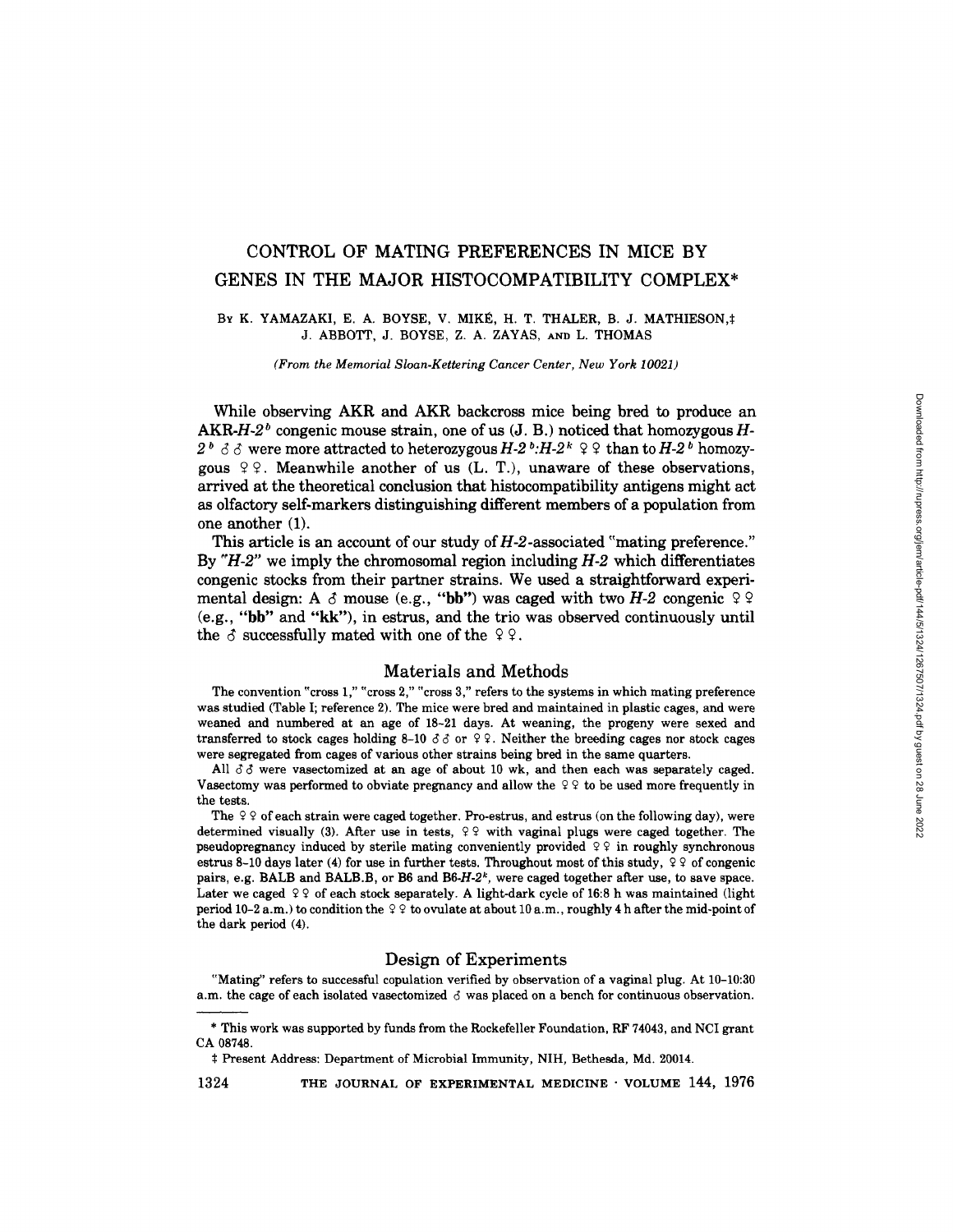# **CONTROL OF MATING PREFERENCES IN MICE BY**  GENES IN THE MAJOR HISTOCOMPATIBILITY COMPLEX\*

# BY K. YAMAZAKI, E. A. BOYSE, V. MIKÉ, H. T. THALER, B. J. MATHIESON, # J. ABBOTT, J. BOYSE, Z. A. ZAYAS, AND L. THOMAS

*(From the Memorial Sloan-Kettering Cancer Center, New York 10021)* 

While observing AKR and AKR backcross mice being bred to produce an AKR-H-2<sup>b</sup> congenic mouse strain, one of us  $(J, B)$  noticed that homozygous H- $2^b$   $\delta$   $\delta$  were more attracted to heterozygous *H-2<sup>b</sup>*:*H-2<sup>k</sup>*  $\Omega$ <sup>2</sup> than to *H-2<sup>b</sup>* homozygous  $99$ . Meanwhile another of us (L. T.), unaware of these observations, arrived at the theoretical conclusion that histocompatibility antigens might act as olfactory self-markers distinguishing different members of a population from one another (1).

This article is an account of our study of  $H-2$ -associated "mating preference." By *"H-2"* we imply the chromosomal region including *H-2* which differentiates congenic stocks from their partner strains. We used a straightforward experimental design: A  $\delta$  mouse (e.g., "bb") was caged with two *H-2* congenic  $\delta$   $\delta$ (e.g., "bb" and "kk"), in estrus, and the trio was observed continuously until the  $\delta$  successfully mated with one of the  $99$ .

# Materials and Methods

The convention "cross 1," "cross 2," "cross 3," refers to the systems in which mating preference was studied (Table I; reference 2). The mice were bred and maintained in plastic cages, and were weaned and numbered at an age of 18-21 days. At weaning, the progeny were sexed and transferred to stock cages holding 8-10  $\delta \delta$  or  $9.9$ . Neither the breeding cages nor stock cages were segregated from cages of various other strains being bred in the same quarters.

All  $\delta\delta$  were vasectomized at an age of about 10 wk, and then each was separately caged. Vasectomy was performed to obviate pregnancy and allow the  $99$  to be used more frequently in the tests.

The  $99$  of each strain were caged together. Pro-estrus, and estrus (on the following day), were determined visually (3). After use in tests,  $99$  with vaginal plugs were caged together. The pseudopregnancy induced by sterile mating conveniently provided  $\varphi \varphi$  in roughly synchronous estrus 8-10 days later (4) for use in further tests. Throughout most of this study,  $\frac{1}{2}$  of congenic pairs, e.g. BALB and BALB.B, or B6 and B6-H-2<sup>k</sup>, were caged together after use, to save space. Later we caged  $99$  of each stock separately. A light-dark cycle of 16:8 h was maintained (light period 10-2 a.m.) to condition the  $\varphi \varphi$  to ovulate at about 10 a.m., roughly 4 h after the mid-point of the dark period (4).

# Design of Experiments

"Mating" refers to successful copulation verified by observation of a vaginal plug. At 10-10:30 a.m. the cage of each isolated vasectomized  $\delta$  was placed on a bench for continuous observation.

1324 THE JOURNAL OF EXPERIMENTAL MEDICINE · VOLUME 144, 1976

<sup>\*</sup> This work was supported by funds from the Rockefeller Foundation, RF 74043, and NCI grant CA 08748.

<sup>\$</sup> Present Address: Department of Microbial Immunity, NIH, Bethesda, Md. 20014.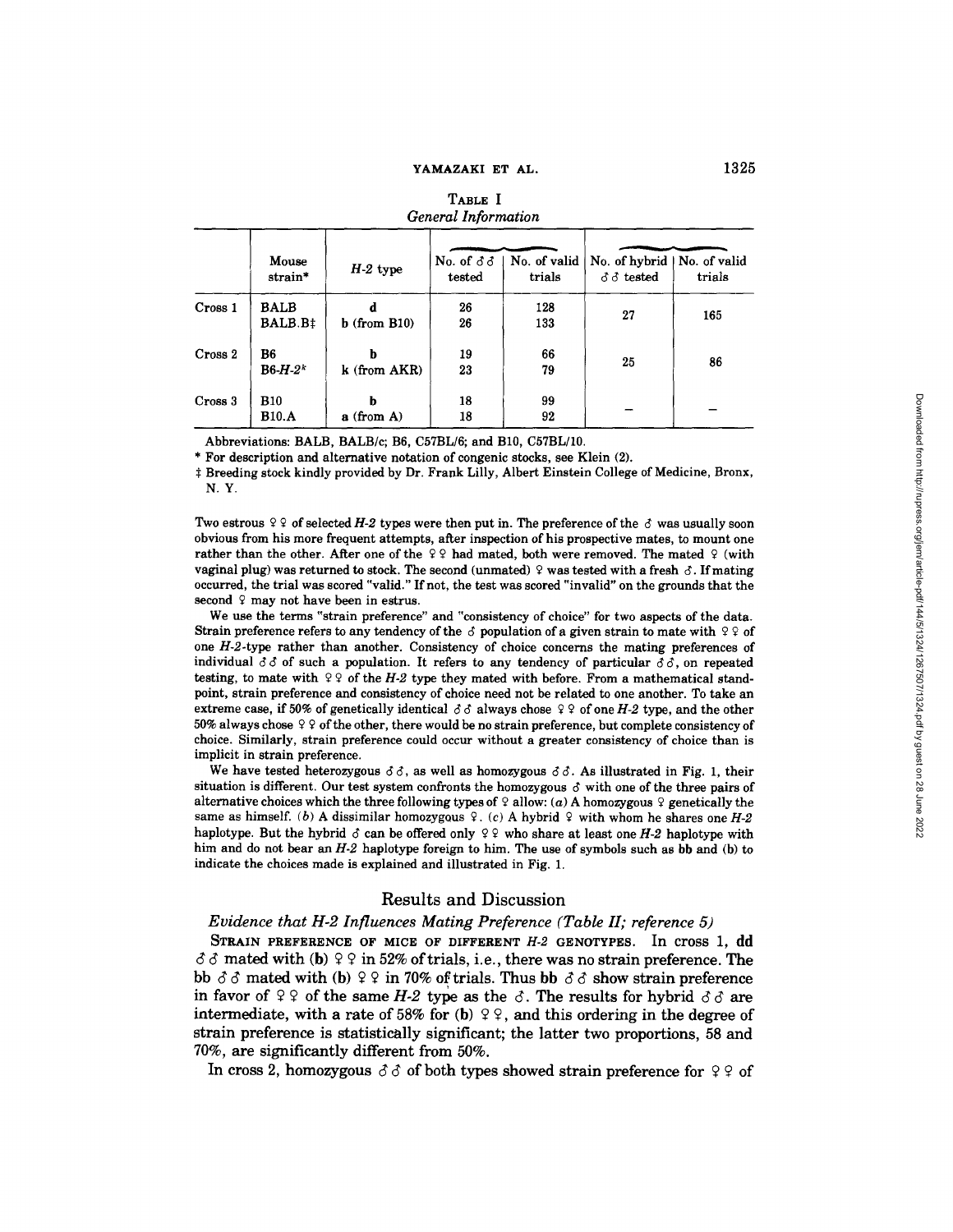| General Information |                            |                   |                                  |                        |                                                        |        |  |  |
|---------------------|----------------------------|-------------------|----------------------------------|------------------------|--------------------------------------------------------|--------|--|--|
|                     | Mouse<br>strain*           | $H-2$ type        | No. of $\delta \delta$<br>tested | No. of valid<br>trials | No. of hybrid   No. of valid<br>$\delta \delta$ tested | trials |  |  |
| Cross 1             | <b>BALB</b><br>BALB.B‡     | $b$ (from B10)    | 26<br>26                         | 128<br>133             | 27                                                     | 165    |  |  |
| Cross 2             | B6<br>$B6-H-2k$            | h<br>k (from AKR) | 19<br>23                         | 66<br>79               | 25                                                     | 86     |  |  |
| Cross 3             | <b>B10</b><br><b>B10.A</b> | h<br>$a$ (from A) | 18<br>18                         | 99<br>92               |                                                        |        |  |  |

# TABLE I *General Information*

Abbreviations: BALB, BALB/c; B6, C57BL/6; and B10, C57BL/10.

\* For description and alternative notation of congenic stocks, see Klein (2).

\$ Breeding stock kindly provided by Dr. Frank Lilly, Albert Einstein College of Medicine, Bronx, N.Y.

Two estrous  $99$  of selected H-2 types were then put in. The preference of the  $\delta$  was usually soon obvious from his more frequent attempts, after inspection of his prospective mates, to mount one rather than the other. After one of the  $99$  had mated, both were removed. The mated 9 (with vaginal plug) was returned to stock. The second (unmated)  $9$  was tested with a fresh  $\delta$ . If mating occurred, the trial was scored "valid." If not, the test was scored "invalid" on the grounds that the second  $9$  may not have been in estrus.

We use the terms "strain preference" and "consistency of choice" for two aspects of the data. Strain preference refers to any tendency of the  $\delta$  population of a given strain to mate with  $99$  of one *H-2-type* rather than another. Consistency of choice concerns the mating preferences of individual *88* of such a population. It refers to any tendency of particular *66,* on repeated testing, to mate with  $99$  of the *H-2* type they mated with before. From a mathematical standpoint, strain preference and consistency of choice need not be related to one another. To take an extreme case, if 50% of genetically identical  $\delta \delta$  always chose  $\Omega$  9 of one *H-2* type, and the other 50% always chose  $99$  of the other, there would be no strain preference, but complete consistency of choice. Similarly, strain preference could occur without a greater consistency of choice than is implicit in strain preference.

We have tested heterozygous  $\delta \delta$ , as well as homozygous  $\delta \delta$ . As illustrated in Fig. 1, their situation is different. Our test system confronts the homozygous  $\delta$  with one of the three pairs of alternative choices which the three following types of  $\varphi$  allow: (a) A homozygous  $\varphi$  genetically the same as himself. (b) A dissimilar homozygous  $\varphi$ . (c) A hybrid  $\varphi$  with whom he shares one *H-2* haplotype. But the hybrid  $\delta$  can be offered only  $\mathcal{Q} \mathcal{Q}$  who share at least one *H*-2 haplotype with him and do not bear an  $H-2$  haplotype foreign to him. The use of symbols such as bb and (b) to indicate the choices made is explained and illustrated in Fig. 1.

# Results and Discussion

#### *Evidence that H-2 Influences Mating Preference (Table II; reference 5)*

STRAIN **PREFERENCE OF MICE OF DIFFERENT** *H-2* **GENOTYPES.** In cross 1, dd  $\delta \delta$  mated with (b)  $9.9$  in 52% of trials, i.e., there was no strain preference. The **bb**  $\delta \delta$  mated with (b)  $99$  in 70% of trials. Thus bb  $\delta \delta$  show strain preference in favor of  $99$  of the same *H-2* type as the  $\delta$ . The results for hybrid  $\delta \delta$  are **intermediate, with a rate of 58% for (b)**  $9\frac{1}{2}$ , and this ordering in the degree of **strain preference is statistically significant; the latter two proportions, 58 and 70%, are significantly different from 50%.** 

In cross 2, homozygous  $\delta \delta$  of both types showed strain preference for  $99$  of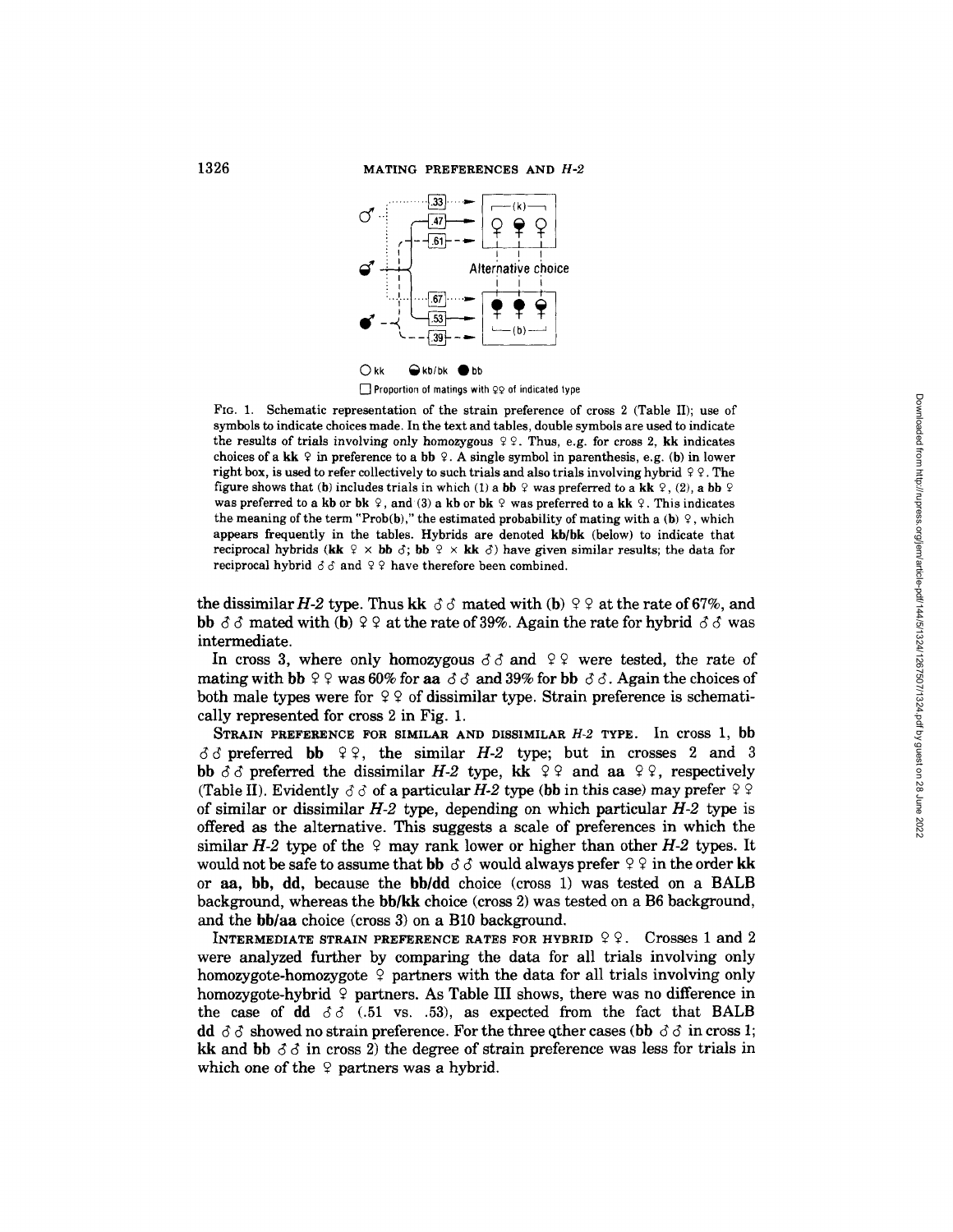

 $\Box$  Proportion of matings with  $\varphi\varphi$  of indicated type

FIG. 1. Schematic representation of the strain preference of cross 2 (Table II); use of symbols to indicate choices made. In the text and tables, double symbols are used to indicate the results of trials involving only homozygous  $99$ . Thus, e.g. for cross 2, kk indicates choices of a kk  $\varphi$  in preference to a bb  $\varphi$ . A single symbol in parenthesis, e.g. (b) in lower right box, is used to refer collectively to such trials and also trials involving hybrid  $99$ . The figure shows that (b) includes trials in which (1) a bb ? was preferred to a kk ?, (2), a bb ? was preferred to a kb or bk  $\varphi$ , and (3) a kb or bk  $\varphi$  was preferred to a kk  $\varphi$ . This indicates the meaning of the term "Prob(b)," the estimated probability of mating with a (b)  $\varphi$ , which appears frequently in the tables. Hybrids are denoted kb/bk (below) to indicate that reciprocal hybrids (kk  $\varphi \times$  bb  $\varphi$ ; bb  $\varphi \times$  kk  $\varphi$ ) have given similar results; the data for reciprocal hybrid  $\delta \delta$  and  $99$  have therefore been combined.

the dissimilar H-2 type. Thus kk  $\delta \delta$  mated with (b)  $99$  at the rate of 67%, and bb  $\delta \delta$  mated with (b)  $99$  at the rate of 39%. Again the rate for hybrid  $\delta \delta$  was intermediate.

In cross 3, where only homozygous  $\delta \delta$  and  $\delta \rho$  were tested, the rate of mating with bb  $99$  was 60% for aa  $\delta \delta$  and 39% for bb  $\delta \delta$ . Again the choices of both male types were for  $99$  of dissimilar type. Strain preference is schematically represented for cross 2 in Fig. 1.

STRAIN PREFERENCE FOR SIMILAR AND DISSIMILAR *H-2* TYPE. In cross 1, bb  $\delta \delta$  preferred bb  $99$ , the similar *H-2* type; but in crosses 2 and 3 bb  $\delta \delta$  preferred the dissimilar *H-2* type, kk  $\partial \rho$  and aa  $\partial \rho$ , respectively (Table II). Evidently  $\delta \delta$  of a particular H-2 type (bb in this case) may prefer  $99$ of similar or dissimilar *H-2* type, depending on which particular *H-2* type is offered as the alternative. This suggests a scale of preferences in which the similar  $H-2$  type of the 9 may rank lower or higher than other  $H-2$  types. It would not be safe to assume that bb  $\delta \delta$  would always prefer  $99$  in the order kk or  $aa$ , bb, dd, because the bb/dd choice (cross 1) was tested on a BALB background, whereas the bb/kk choice (cross 2) was tested on a B6 background, and the bb/aa choice (cross 3) on a B10 background.

INTERMEDIATE STRAIN PREFERENCE RATES FOR HYBRID  $99.$  Crosses 1 and 2 were analyzed further by comparing the data for all trials involving only homozygote-homozygote  $\varphi$  partners with the data for all trials involving only homozygote-hybrid  $\varphi$  partners. As Table III shows, there was no difference in the case of dd  $\delta \delta$  (.51 vs. .53), as expected from the fact that BALB dd  $\delta \delta$  showed no strain preference. For the three other cases (bb  $\delta \delta$  in cross 1; kk and bb  $\delta \delta$  in cross 2) the degree of strain preference was less for trials in which one of the  $\varphi$  partners was a hybrid.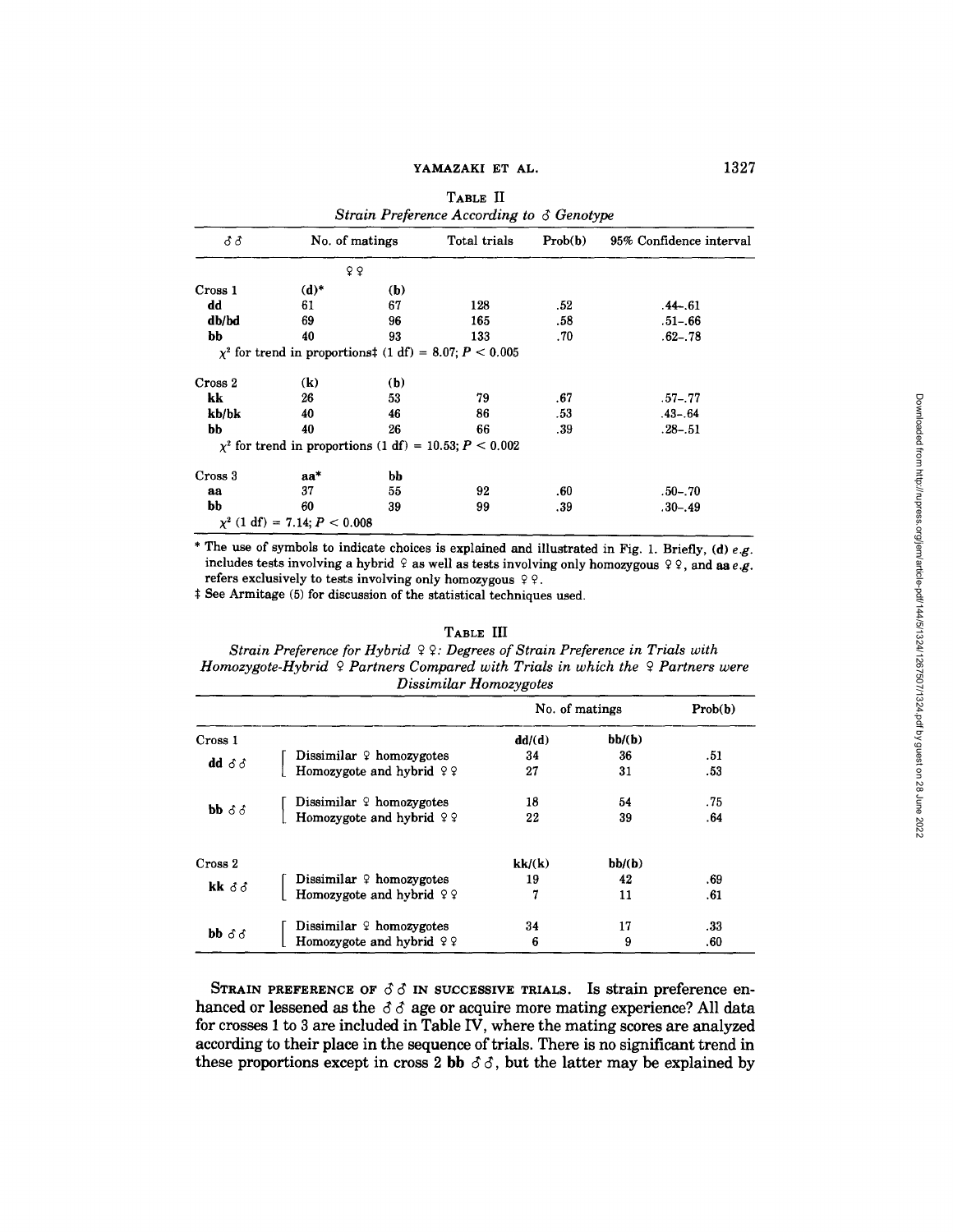#### YAMAZAKI ET AL.

| Strain Preference According to $\delta$ Genotype |                                     |     |                                                                 |         |                         |  |  |  |  |
|--------------------------------------------------|-------------------------------------|-----|-----------------------------------------------------------------|---------|-------------------------|--|--|--|--|
| 33                                               | No. of matings                      |     | Total trials                                                    | Prob(b) | 95% Confidence interval |  |  |  |  |
|                                                  |                                     | 99  |                                                                 |         |                         |  |  |  |  |
| Cross 1                                          | $(d)^*$                             | (b) |                                                                 |         |                         |  |  |  |  |
| dd                                               | 61                                  | 67  | 128                                                             | .52     | $.44 - .61$             |  |  |  |  |
| db/bd                                            | 69                                  | 96  | 165                                                             | .58     | $.51 - .66$             |  |  |  |  |
| bb                                               | 40                                  | 93  | 133                                                             | .70     | $.62 - .78$             |  |  |  |  |
|                                                  |                                     |     | $\chi^2$ for trend in proportions $(1 df) = 8.07$ ; $P < 0.005$ |         |                         |  |  |  |  |
| Cross 2                                          | $\left( \mathbf{k}\right)$          | (b) |                                                                 |         |                         |  |  |  |  |
| kk                                               | 26                                  | 53  | 79                                                              | .67     | $.57 - .77$             |  |  |  |  |
| kb/bk                                            | 40                                  | 46  | 86                                                              | .53     | $.43 - .64$             |  |  |  |  |
| bb                                               | 40                                  | 26  | 66                                                              | .39     | $.28 - .51$             |  |  |  |  |
|                                                  |                                     |     | $\chi^2$ for trend in proportions (1 df) = 10.53; P < 0.002     |         |                         |  |  |  |  |
| Cross 3                                          | $aa^*$                              | bb  |                                                                 |         |                         |  |  |  |  |
| aa                                               | 37                                  | 55  | 92                                                              | .60     | .50–.70                 |  |  |  |  |
| bb                                               | 60                                  | 39  | 99                                                              | .39     | $.30 - .49$             |  |  |  |  |
|                                                  | $\chi^2$ (1 df) = 7.14; $P < 0.008$ |     |                                                                 |         |                         |  |  |  |  |

TABLE **II** 

\* The use of symbols to indicate choices is explained and illustrated in Fig. 1. Briefly, (d) *e.g.*  includes tests involving a hybrid 2 as well as tests involving only homozygous 2 2, and *aae.g.*  refers exclusively to tests involving only homozygous  $99$ .

\$ See Armitage (5) for discussion of the statistical techniques used.

# TABLE **III**

*Strain Preference for Hybrid Q 2: Degrees of Strain Preference in Trials with*  Homozygote-Hybrid Q Partners Compared with Trials in which the Q Partners were *Dissimilar Homozygotes* 

|                                               |                            | No. of matings |        | Prob(b) |
|-----------------------------------------------|----------------------------|----------------|--------|---------|
| Cross 1                                       |                            | dd/(d)         | bb/(b) |         |
|                                               | Dissimilar $9$ homozygotes | 34             | 36     | .51     |
| $dd \delta \delta$                            | Homozygote and hybrid $99$ | 27             | 31     | .53     |
|                                               | Dissimilar $9$ homozygotes | 18             | 54     | .75     |
| $\mathbf{bb} \mathop{\delta} \mathop{\delta}$ | Homozygote and hybrid $99$ | 22             | 39     | .64     |
| Cross 2                                       |                            | kk/(k)         | bb/(b) |         |
| kk $\delta \delta$                            | Dissimilar $9$ homozygotes | 19             | 42     | .69     |
|                                               | Homozygote and hybrid $99$ | 7              | 11     | .61     |
| bb $\delta \delta$                            | Dissimilar $9$ homozygotes | 34             | 17     | .33     |
|                                               | Homozygote and hybrid $99$ | 6              | 9      | .60     |

**STRAIN PREFERENCE OF**  $\delta \delta$  **IN SUCCESSIVE TRIALS. Is strain preference en**hanced or lessened as the  $\delta \delta$  age or acquire more mating experience? All data **for crosses 1 to 3 are included in Table IV, where the mating scores are analyzed according to their place in the sequence of trials. There is no significant trend in**  these proportions except in cross 2 bb  $\delta \delta$ , but the latter may be explained by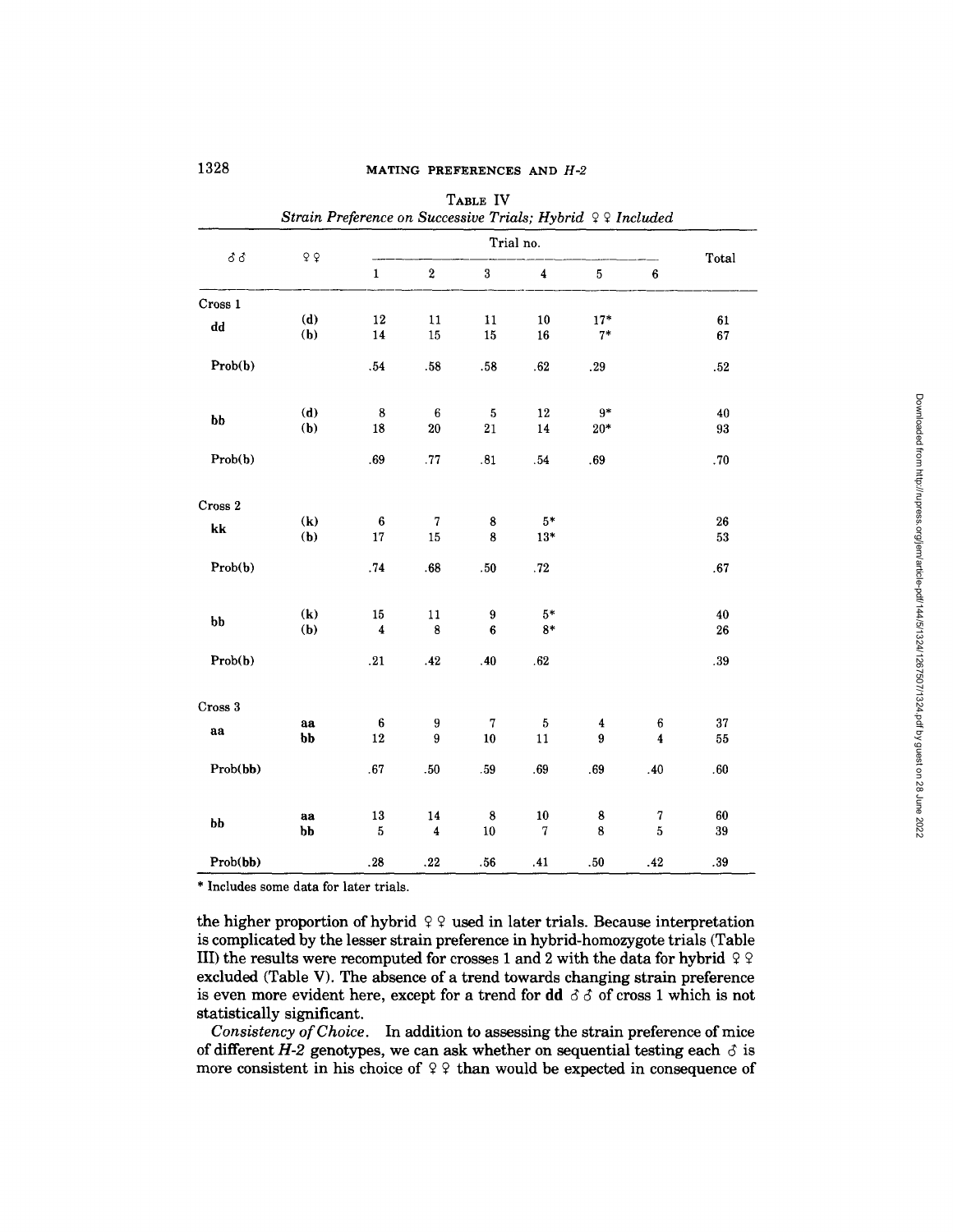|                        | Strain Preference on Successive Trials; Hybrid 99 Included |                         |                          | TABLE IV                |                              |               |                              |           |  |  |
|------------------------|------------------------------------------------------------|-------------------------|--------------------------|-------------------------|------------------------------|---------------|------------------------------|-----------|--|--|
|                        | $\mathsf{Q}$ $\mathsf{Q}$                                  |                         | Trial no.                |                         |                              |               |                              |           |  |  |
| δδ                     |                                                            | $\mathbf 1$             | $\overline{\mathbf{2}}$  | 3                       | 4                            | $\bf 5$       | $\boldsymbol{6}$             | Total     |  |  |
| Cross 1                |                                                            |                         |                          |                         |                              |               |                              |           |  |  |
| $\mathbf{d}\mathbf{d}$ | (d)<br>(b)                                                 | 12<br>14                | 11<br>15                 | 11<br>15                | 10<br>16                     | $17*$<br>$7*$ |                              | 61<br>67  |  |  |
| Prob(b)                |                                                            | .54                     | .58                      | .58                     | .62                          | .29           |                              | $.52\,$   |  |  |
| bb                     | (d)                                                        | $\bf8$                  | $\bf 6$                  | $\bf 5$                 | 12                           | $9*$          |                              | 40        |  |  |
| Prob(b)                | (b)                                                        | 18<br>.69               | $20\,$<br>.77            | 21<br>.81               | 14<br>.54                    | $20*$<br>.69  |                              | 93<br>.70 |  |  |
|                        |                                                            |                         |                          |                         |                              |               |                              |           |  |  |
| Cross 2                |                                                            |                         |                          |                         |                              |               |                              |           |  |  |
| k                      | $\left( \mathbf{k}\right)$<br>(b)                          | $\bf{6}$<br>17          | $\overline{7}$<br>15     | $\bf8$<br>8             | $5*$<br>$13*$                |               |                              | 26<br>53  |  |  |
| Prob(b)                |                                                            | .74                     | .68                      | .50                     | $.72\,$                      |               |                              | .67       |  |  |
| $b$                    | $\left( \mathbf{k}\right)$                                 | $15\,$                  | 11                       | 9                       | $5*$                         |               |                              | 40        |  |  |
| Prob(b)                | (b)                                                        | $\boldsymbol{4}$<br>.21 | $\bf 8$<br>.42           | $\boldsymbol{6}$<br>.40 | $8*$<br>.62                  |               |                              | 26<br>.39 |  |  |
|                        |                                                            |                         |                          |                         |                              |               |                              |           |  |  |
| Cross 3                |                                                            |                         |                          |                         |                              |               |                              |           |  |  |
| aa                     | aa<br>bb                                                   | 6<br>12                 | 9<br>9                   | 7<br>10                 | $\sqrt{5}$<br>11             | 4<br>9        | 6<br>$\overline{\mathbf{4}}$ | 37<br>55  |  |  |
| Prob(bb)               |                                                            | .67                     | .50                      | .59                     | .69                          | .69           | .40                          | .60       |  |  |
| bb                     | aa                                                         | 13                      | 14<br>$\overline{\bf 4}$ | $\bf8$                  | ${\bf 10}$<br>$\overline{7}$ | 8<br>8        | $\boldsymbol{7}$<br>5        | 60        |  |  |
| Prob(bb)               | bb                                                         | 5<br>.28                | .22                      | 10<br>.56               | .41                          | .50           | .42                          | 39<br>.39 |  |  |

**\* Includes some data for later trials.** 

the higher proportion of hybrid  $99$  used in later trials. Because interpretation **is complicated by the lesser strain preference in hybrid-homozygote trials (Table III**) the results were recomputed for crosses 1 and 2 with the data for hybrid  $99$ **excluded (Table V). The absence of a trend towards changing strain preference**  is even more evident here, except for a trend for  $dd \circ \circ$  of cross 1 which is not **statistically significant.** 

*Consistency of Choice.* **In addition to assessing the strain preference of mice**  of different  $H-2$  genotypes, we can ask whether on sequential testing each  $\delta$  is **more consistent in his choice of 9 9 than would be expected in consequence of**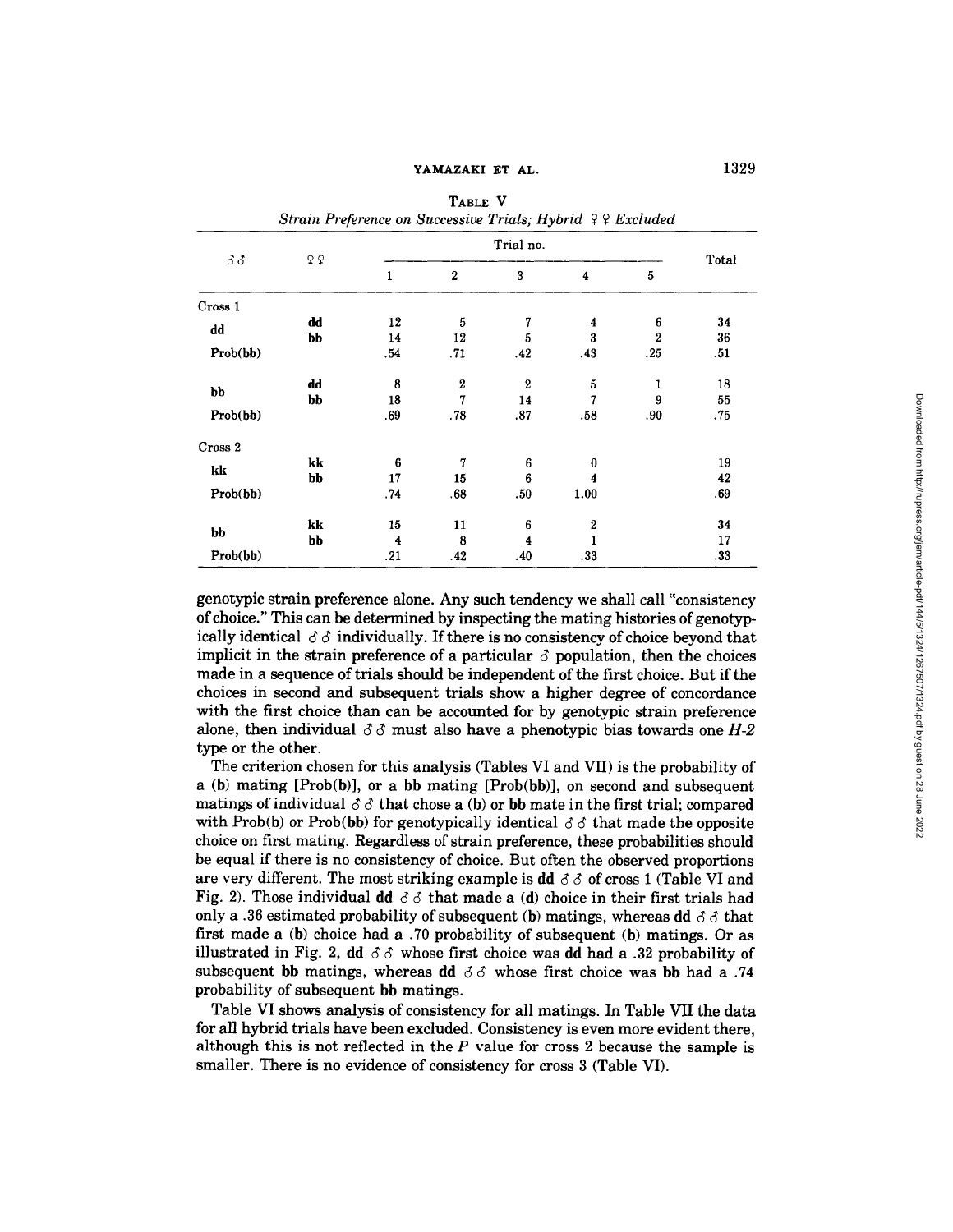**YAMAZAKI ET AL. TABLE V** 

|          |    | Strain Preference on Successive Trials; Hybrid 99 Excluded |                  |                  |                         |                |       |
|----------|----|------------------------------------------------------------|------------------|------------------|-------------------------|----------------|-------|
|          | Q  |                                                            |                  |                  |                         |                |       |
| ර ර      |    | 1                                                          | $\overline{2}$   | 3                | $\overline{\mathbf{4}}$ | 5              | Total |
| Cross 1  |    |                                                            |                  |                  |                         |                |       |
|          | dd | 12                                                         | 5                | 7                | 4                       | 6              | 34    |
| dd       | bb | 14                                                         | 12               | 5                | 3                       | $\overline{2}$ | 36    |
| Prob(bb) |    | .54                                                        | .71              | .42              | .43                     | .25            | .51   |
|          | dd | 8                                                          | $\boldsymbol{2}$ | $\boldsymbol{2}$ | 5                       | 1              | 18    |
| bb       | bb | 18                                                         | 7                | 14               | 7                       | 9              | 55    |
| Prob(bb) |    | .69                                                        | .78              | .87              | .58                     | .90            | .75   |
| Cross 2  |    |                                                            |                  |                  |                         |                |       |
|          | kk | 6                                                          | 7                | 6                | $\bf{0}$                |                | 19    |
| kk       | bb | 17                                                         | 15               | 6                | 4                       |                | 42    |
| Prob(bb) |    | .74                                                        | .68              | .50              | 1.00                    |                | .69   |
| bb       | kk | 15                                                         | 11               | 6                | $\boldsymbol{2}$        |                | 34    |
|          | bb | 4                                                          | 8                | 4                |                         |                | 17    |
| Prob(bb) |    | .21                                                        | .42              | .40              | .33                     |                | .33   |

genotypic strain preference alone. Any such tendency we shall call "consistency of choice." This can be determined by inspecting the mating histories of genotypically identical  $\delta \delta$  individually. If there is no consistency of choice beyond that implicit in the strain preference of a particular  $\delta$  population, then the choices made in a sequence of trials should be independent of the first choice. But if the choices in second and subsequent trials show a higher degree of concordance with the first choice than can be accounted for by genotypic strain preference alone, then individual  $\delta \delta$  must also have a phenotypic bias towards one  $H-2$ type or the other.

The criterion chosen for this analysis (Tables VI and VII) is the probability of a (b) mating  $[Prob(b)]$ , or a bb mating  $[Prob(bb)]$ , on second and subsequent matings of individual  $\delta \delta$  that chose a (b) or bb mate in the first trial; compared with Prob(b) or Prob(bb) for genotypically identical  $\delta \delta$  that made the opposite choice on first mating. Regardless of strain preference, these probabilities should be equal if there is no consistency of choice. But often the observed proportions are very different. The most striking example is dd  $\delta \delta$  of cross 1 (Table VI and Fig. 2). Those individual dd  $\delta \delta$  that made a (d) choice in their first trials had only a .36 estimated probability of subsequent (b) matings, whereas dd  $\delta \delta$  that first made a (b) choice had a .70 probability of subsequent (b) matings. Or as illustrated in Fig. 2, dd  $\delta \delta$  whose first choice was dd had a .32 probability of subsequent bb matings, whereas dd  $\delta \delta$  whose first choice was bb had a .74 probability of subsequent bb matings.

Table VI shows analysis of consistency for all matings. In Table VII the data for all hybrid trials have been excluded. Consistency is even more evident there, although this is not reflected in the  $P$  value for cross 2 because the sample is smaller. There is no evidence of consistency for cross 3 (Table VI).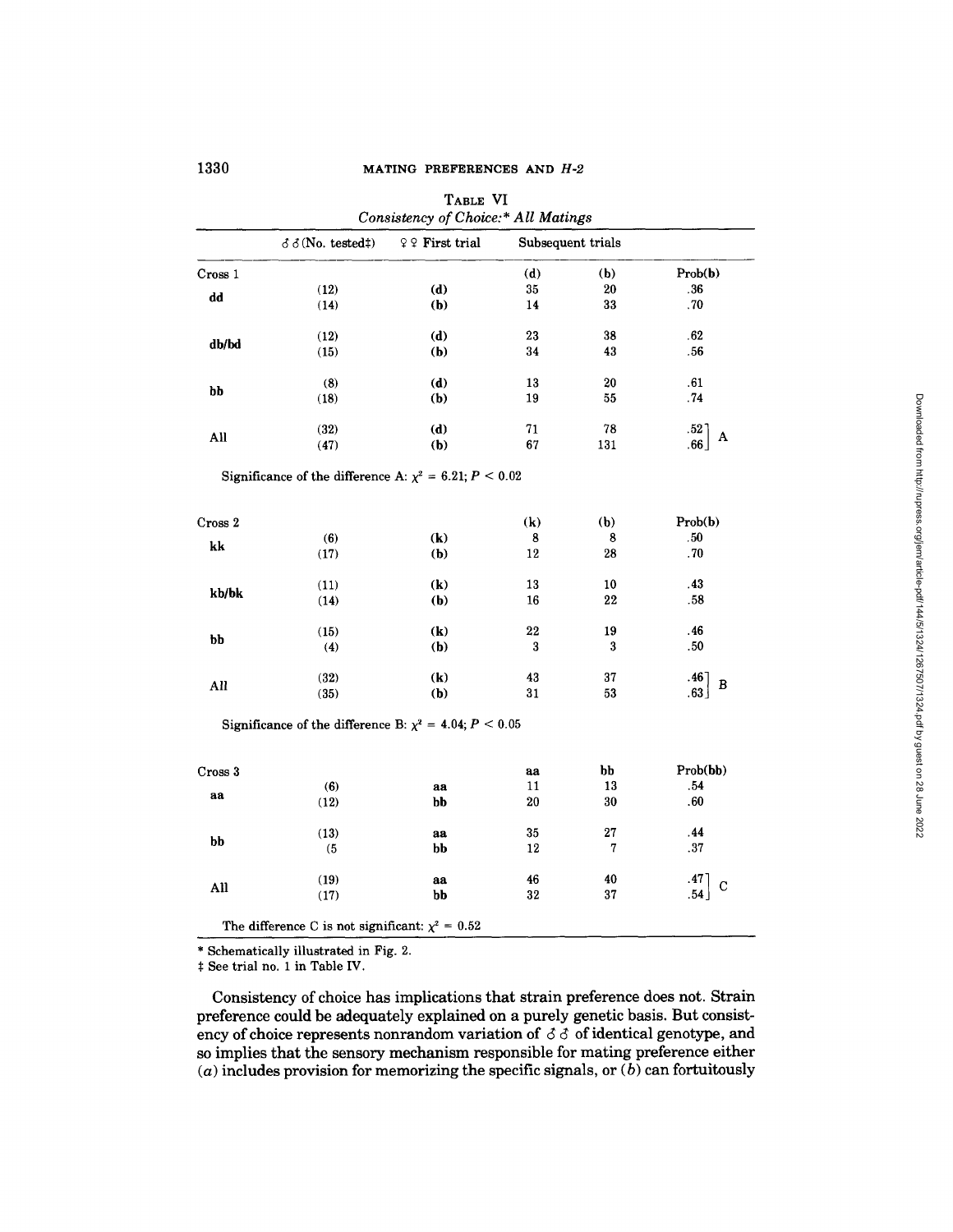| TABLE VI<br>Consistency of Choice:* All Matings |                                                                |                                                           |     |                   |                                                 |  |  |  |
|-------------------------------------------------|----------------------------------------------------------------|-----------------------------------------------------------|-----|-------------------|-------------------------------------------------|--|--|--|
|                                                 | $\delta$ $\delta$ (No. tested‡)                                | $\mathfrak{P} \mathrel{\mathcal{Q}} \mathbf{First}$ trial |     | Subsequent trials |                                                 |  |  |  |
| Cross 1                                         |                                                                |                                                           | (d) | (b)               | Prob(b)                                         |  |  |  |
| dd                                              | (12)                                                           | (d)                                                       | 35  | 20                | .36                                             |  |  |  |
|                                                 | (14)                                                           | (b)                                                       | 14  | 33                | .70                                             |  |  |  |
| db/bd                                           | (12)                                                           | (d)                                                       | 23  | 38                | .62                                             |  |  |  |
|                                                 | (15)                                                           | (b)                                                       | 34  | 43                | .56                                             |  |  |  |
| bb                                              | (8)                                                            | (d)                                                       | 13  | $20\,$            | .61                                             |  |  |  |
|                                                 | (18)                                                           | (b)                                                       | 19  | 55                | .74                                             |  |  |  |
| All                                             | (32)                                                           | (d)                                                       | 71  | 78                | $\begin{bmatrix} .52 \\ .66 \end{bmatrix}$<br>A |  |  |  |
|                                                 | (47)                                                           | (b)                                                       | 67  | 131               |                                                 |  |  |  |
|                                                 | Significance of the difference A: $\chi^2 = 6.21$ ; $P < 0.02$ |                                                           |     |                   |                                                 |  |  |  |
| Cross 2                                         |                                                                |                                                           | (k) | (b)               | Prob(b)                                         |  |  |  |
|                                                 | (6)                                                            | $\left( \mathbf{k}\right)$                                | 8   | 8                 | .50                                             |  |  |  |
| k                                               | (17)                                                           | (b)                                                       | 12  | 28                | .70                                             |  |  |  |
|                                                 | (11)                                                           | $\left( \mathbf{k}\right)$                                | 13  | 10                | .43                                             |  |  |  |
| kb/bk                                           | (14)                                                           | (b)                                                       | 16  | 22                | .58                                             |  |  |  |
| bb                                              | (15)                                                           | $\left( \mathbf{k}\right)$                                | 22  | 19                | .46                                             |  |  |  |
|                                                 | (4)                                                            | (b)                                                       | 3   | 3                 | .50                                             |  |  |  |
|                                                 | (32)                                                           | $\left( \mathbf{k}\right)$                                | 43  | 37                | $.46$<br>$.63$<br>B                             |  |  |  |
| All                                             | (35)                                                           | (b)                                                       | 31  | 53                |                                                 |  |  |  |
|                                                 | Significance of the difference B: $\chi^2$ = 4.04; P < 0.05    |                                                           |     |                   |                                                 |  |  |  |
| Cross 3                                         |                                                                |                                                           | aa  | bb                | Prob(bb)                                        |  |  |  |
|                                                 | (6)                                                            | aa                                                        | 11  | 13                | .54                                             |  |  |  |
| aa                                              | (12)                                                           | bb                                                        | 20  | 30                | .60                                             |  |  |  |
|                                                 | (13)                                                           | aa                                                        | 35  | 27                | .44                                             |  |  |  |
| bb                                              | (5                                                             | bb                                                        | 12  | 7                 | .37                                             |  |  |  |
|                                                 |                                                                | aa                                                        | 46  | 40                | .47<br>.54<br>$\mathbf C$                       |  |  |  |
| All                                             | (19)                                                           |                                                           |     |                   |                                                 |  |  |  |

\* Schematically illustrated in Fig. 2.

 $\ddagger$  See trial no. 1 in Table IV.

Consistency of choice has implications that strain preference does not. Strain preference could be adequately explained on a purely genetic basis. But consistency of choice represents nonrandom variation of  $\delta \delta$  of identical genotype, and so implies that the sensory mechanism responsible for mating preference either (a) includes provision for memorizing the specific signals, or  $(b)$  can fortuitously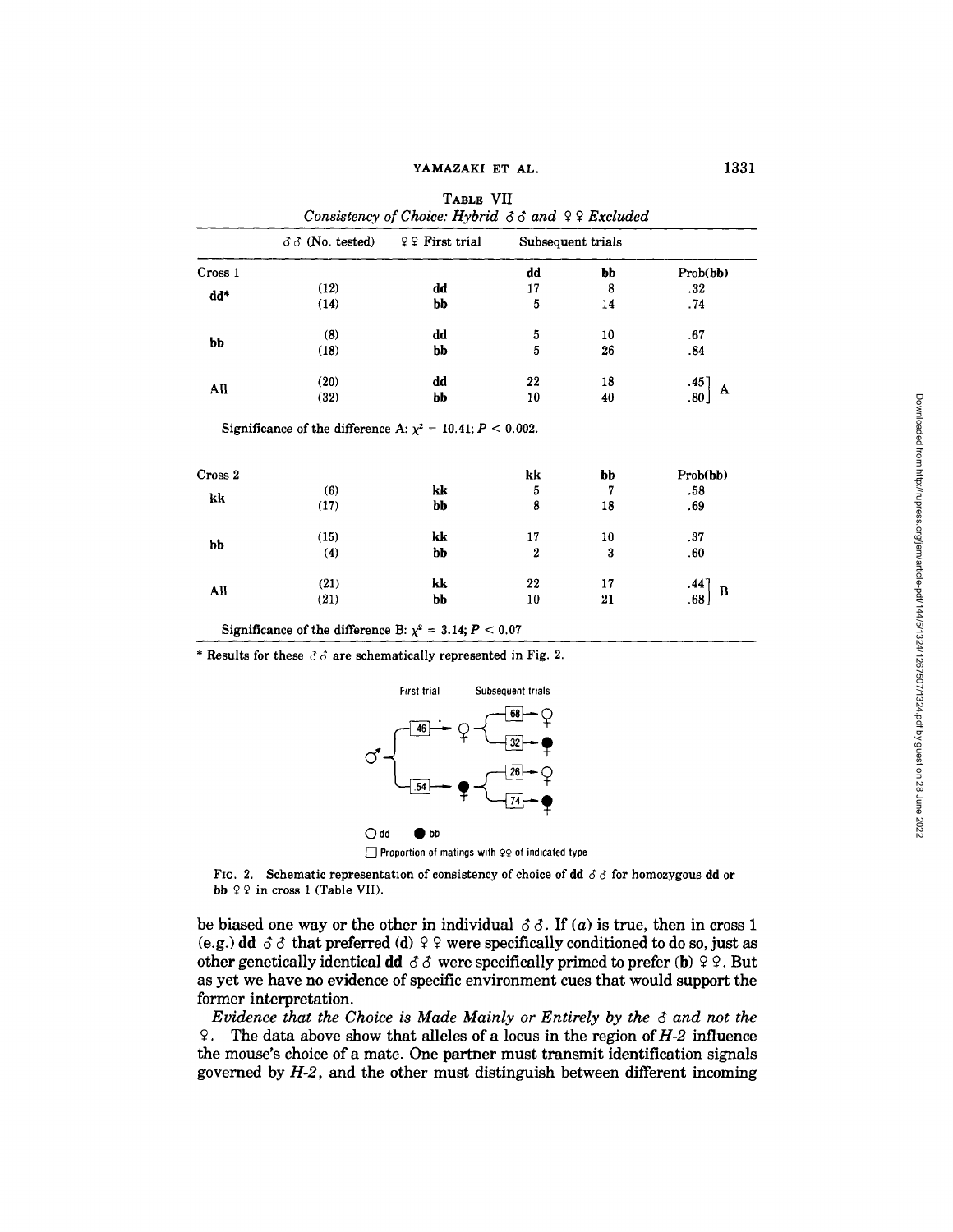|         | $\delta \delta$ (No. tested)                                       | $99$ First trial |    | Subsequent trials |                                                |
|---------|--------------------------------------------------------------------|------------------|----|-------------------|------------------------------------------------|
| Cross 1 |                                                                    |                  | dd | bb                | Prob(bb)                                       |
|         | (12)                                                               | dd               | 17 | 8                 | .32                                            |
| dd*     | (14)                                                               | bb               | 5  | 14                | .74                                            |
|         | (8)                                                                | dd               | 5  | 10                | .67                                            |
| bb      | (18)                                                               | bb               | 5  | 26                | .84                                            |
| All     | (20)                                                               | dd               | 22 | 18                |                                                |
|         | (32)                                                               | bb               | 10 | 40                | $\begin{bmatrix} .45 \ .80 \end{bmatrix}$<br>A |
|         |                                                                    |                  |    |                   |                                                |
|         | Significance of the difference A: $\chi^2 = 10.41$ ; $P < 0.002$ . |                  |    |                   |                                                |
| Cross 2 |                                                                    |                  | kk | bb                |                                                |
|         | (6)                                                                | kk               | 5  | 7                 | .58                                            |
| kk      | (17)                                                               | bb               | 8  | 18                | Prob(bb)<br>.69                                |
|         | (15)                                                               | kk               | 17 | 10                | .37                                            |
| bb      | (4)                                                                | bb               | 2  | 3                 | .60                                            |
| All     | (21)                                                               | kk               | 22 | 17                | $\begin{bmatrix} .44 \ .68 \end{bmatrix}$<br>B |

**TABLE** VII

Significance of the difference B:  $\chi^2 = 3.14; P < 0.07$ 

\* Results for these  $\delta \delta$  are schematically represented in Fig. 2.



**[]** Proportion of matings with  $QQ$  of indicated type

FIG. 2. Schematic representation of consistency of choice of dd  $\delta \delta$  for homozygous dd or bb  $99$  in cross 1 (Table VII).

be biased one way or the other in individual  $\delta \delta$ . If (a) is true, then in cross 1 (e.g.) dd  $\delta \delta$  that preferred (d)  $\delta \rho$  were specifically conditioned to do so, just as other genetically identical dd  $\delta\delta$  were specifically primed to prefer (b)  $\delta\delta\phi$ . But as yet we have no evidence of specific environment cues that would support the former interpretation.

*Evidence that the Choice is Made Mainly or Entirely by the*  $\delta$  *and not the*  $\degree$ . The data above show that alleles of a locus in the region of *H*-2 influence the mouse's choice of a mate. One partner must transmit identification signals governed by *H-2,* and the other must distinguish between different incoming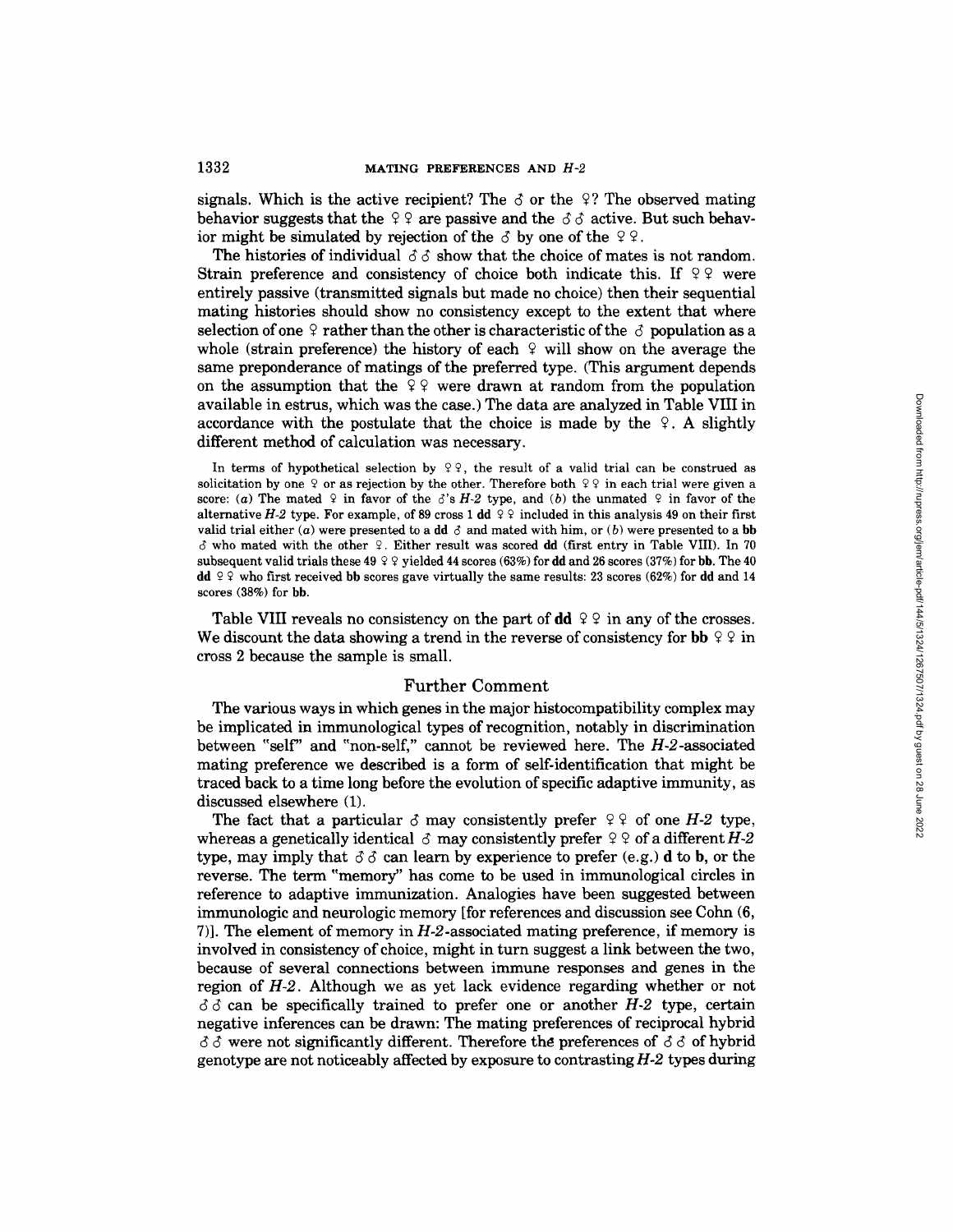signals. Which is the active recipient? The  $\beta$  or the  $\beta$ ? The observed mating behavior suggests that the  $99$  are passive and the  $\delta \delta$  active. But such behavior might be simulated by rejection of the  $\delta$  by one of the  $\delta \varphi$ .

The histories of individual  $\delta \delta$  show that the choice of mates is not random. Strain preference and consistency of choice both indicate this. If  $99$  were entirely passive (transmitted signals but made no choice) then their sequential mating histories should show no consistency except to the extent that where selection of one  $\varphi$  rather than the other is characteristic of the  $\varphi$  population as a whole (strain preference) the history of each  $\varphi$  will show on the average the same preponderance of matings of the preferred type. (This argument depends on the assumption that the  $99$  were drawn at random from the population available in estrus, which was the case.) The data are analyzed in Table VIII in accordance with the postulate that the choice is made by the  $\varphi$ . A slightly different method of calculation was necessary.

In terms of hypothetical selection by  $99$ , the result of a valid trial can be construed as solicitation by one  $\varphi$  or as rejection by the other. Therefore both  $\varphi \varphi$  in each trial were given a score: (a) The mated  $\varphi$  in favor of the d's *H*-2 type, and (b) the unmated  $\varphi$  in favor of the alternative *H-2* type. For example, of 89 cross 1 dd  $9\frac{1}{2}$  included in this analysis 49 on their first valid trial either (a) were presented to a dd  $\delta$  and mated with him, or (b) were presented to a bb  $\delta$  who mated with the other  $\varphi$ . Either result was scored dd (first entry in Table VIII). In 70 subsequent valid trials these 49  $\varphi$   $\varphi$  yielded 44 scores (63%) for dd and 26 scores (37%) for bb. The 40 **dd**  $\sqrt{Q}$  who first received bb scores gave virtually the same results: 23 scores (62%) for **dd** and 14 scores (36%) for **bb.** 

Table VIII reveals no consistency on the part of dd  $99$  in any of the crosses. We discount the data showing a trend in the reverse of consistency for bb  $99$  in cross 2 because the sample is small.

# Further Comment

The various ways in which genes in the major histocompatibility complex may be implicated in immunological types of recognition, notably in discrimination between "self" and "non-self," cannot be reviewed here. The  $H$ -2-associated mating preference we described is a form of self-identification that might be traced back to a time long before the evolution of specific adaptive immunity, as discussed elsewhere (1).

The fact that a particular  $\delta$  may consistently prefer  $99$  of one *H-2* type, whereas a genetically identical  $\sigma$  may consistently prefer  $9$   $\circ$  of a different *H*-2 type, may imply that  $\delta \delta$  can learn by experience to prefer (e.g.) d to b, or the reverse. The term "memory" has come to be used in immunological circles in reference to adaptive immunization. Analogies have been suggested between immunologic and neurologic memory [for references and discussion see Cohn (6, 7)]. The element of memory in  $H-2$ -associated mating preference, if memory is involved in consistency of choice, might in turn suggest a link between the two, because of several connections between immune responses and genes in the region of *H-2.* Although we as yet lack evidence regarding whether or not  $\delta \delta$  can be specifically trained to prefer one or another *H*-2 type, certain negative inferences can be drawn: The mating preferences of reciprocal hybrid  $\delta \delta$  were not significantly different. Therefore the preferences of  $\delta \delta$  of hybrid genotype are not noticeably affected by exposure to contrasting *H-2* types during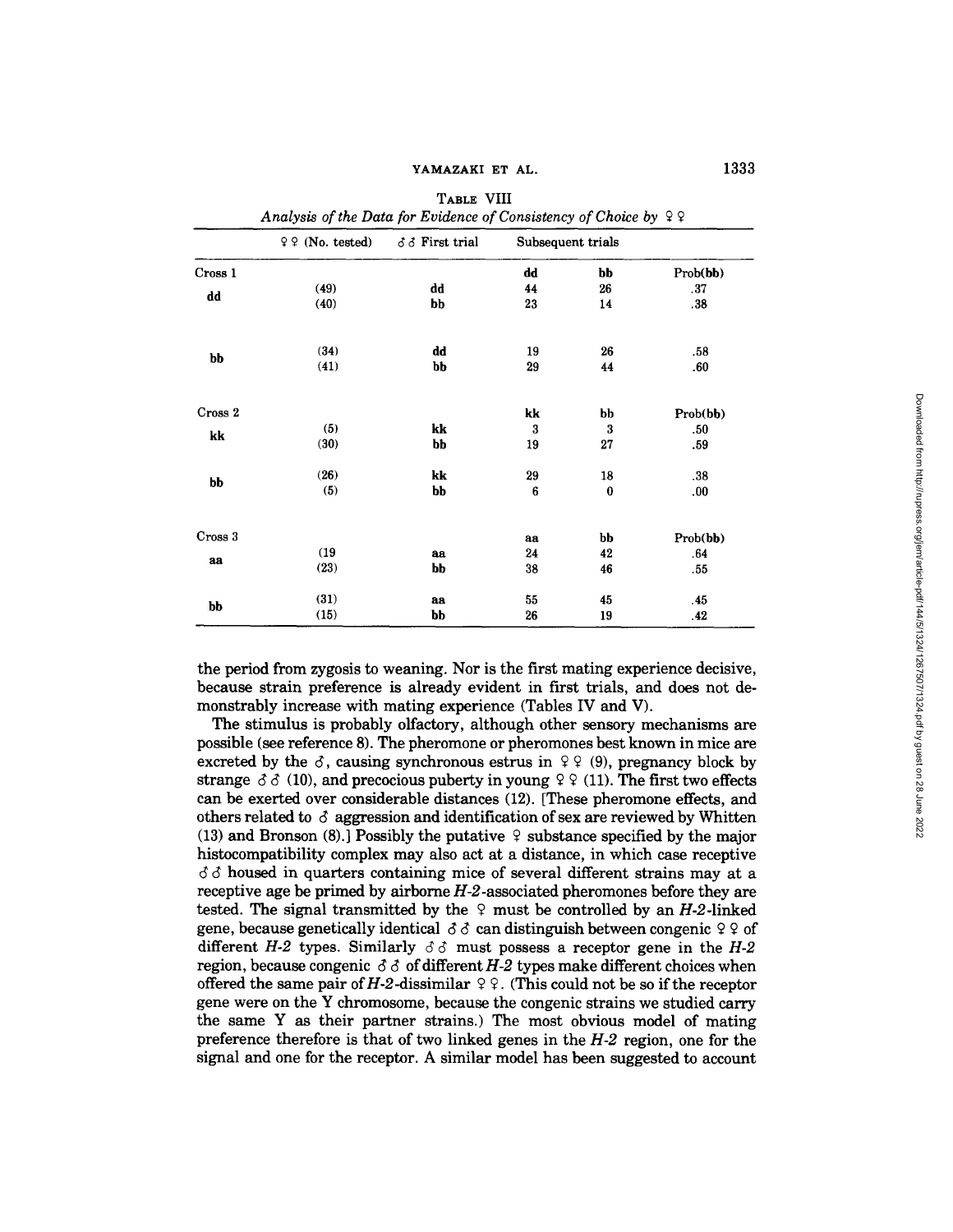|         | $99$ (No. tested) | 33 First trial | Subsequent trials |          |          |
|---------|-------------------|----------------|-------------------|----------|----------|
| Cross 1 |                   |                | dd                | bb       | Prob(bb) |
|         | (49)              | dd             | 44                | 26       | .37      |
| dd      | (40)              | bb             | 23                | 14       | .38      |
|         | (34)              | dd             | 19                | 26       | .58      |
| bb      | (41)              | bb             | 29                | 44       | .60      |
| Cross 2 |                   |                | kk                | bb       | Prob(bb) |
|         | (5)               | kk             | 3                 | 3        | .50      |
| kk      | (30)              | bb             | 19                | 27       | .59      |
| bb      | (26)              | kk             | 29                | 18       | .38      |
|         | (5)               | bb             | 6                 | $\bf{0}$ | .00.     |
| Cross 3 |                   |                | aa                | bb       | Prob(bb) |
|         | (19)              | aa             | 24                | 42       | .64      |
| aa      | (23)              | bb             | 38                | 46       | .55      |
| bb      | (31)              | aa             | 55                | 45       | .45      |
|         | (15)              | bb             | 26                | 19       | .42      |

| TABLE VIII                                                         |  |
|--------------------------------------------------------------------|--|
| Analysis of the Data for Evidence of Consistency of Choice by $99$ |  |

the period from zygosis to weaning. Nor is the first mating experience decisive, because strain preference is already evident in first trials, and does not demonstrably increase with mating experience (Tables IV and V).

The stimulus is probably olfactory, although other sensory mechanisms are possible (see reference 8). The pheromone or pheromones best known in mice are excreted by the  $\delta$ , causing synchronous estrus in  $\varphi$   $\varphi$  (9), pregnancy block by strange  $\delta \delta$  (10), and precocious puberty in young  $99$  (11). The first two effects can be exerted over considerable distances (12). [These pheromone effects, and others related to  $\delta$  aggression and identification of sex are reviewed by Whitten (13) and Bronson (8).] Possibly the putative  $\varphi$  substance specified by the major histocompatibility complex may also act at a distance, in which case receptive  $\delta \delta$  housed in quarters containing mice of several different strains may at a receptive age be primed by airborne *H-2-associated* pheromones before they are tested. The signal transmitted by the  $\varphi$  must be controlled by an *H-2-*linked gene, because genetically identical  $\delta \delta$  can distinguish between congenic  $99$  of different *H-2* types. Similarly  $\delta \delta$  must possess a receptor gene in the *H-2* region, because congenic  $\delta \delta$  of different *H-2* types make different choices when offered the same pair of H-2-dissimilar  $\varphi$   $\varphi$ . (This could not be so if the receptor gene were on the Y chromosome, because the congenic strains we studied carry the same Y as their partner strains.) The most obvious model of mating preference therefore is that of two linked genes in the *H-2* region, one for the signal and one for the receptor. A similar model has been suggested to account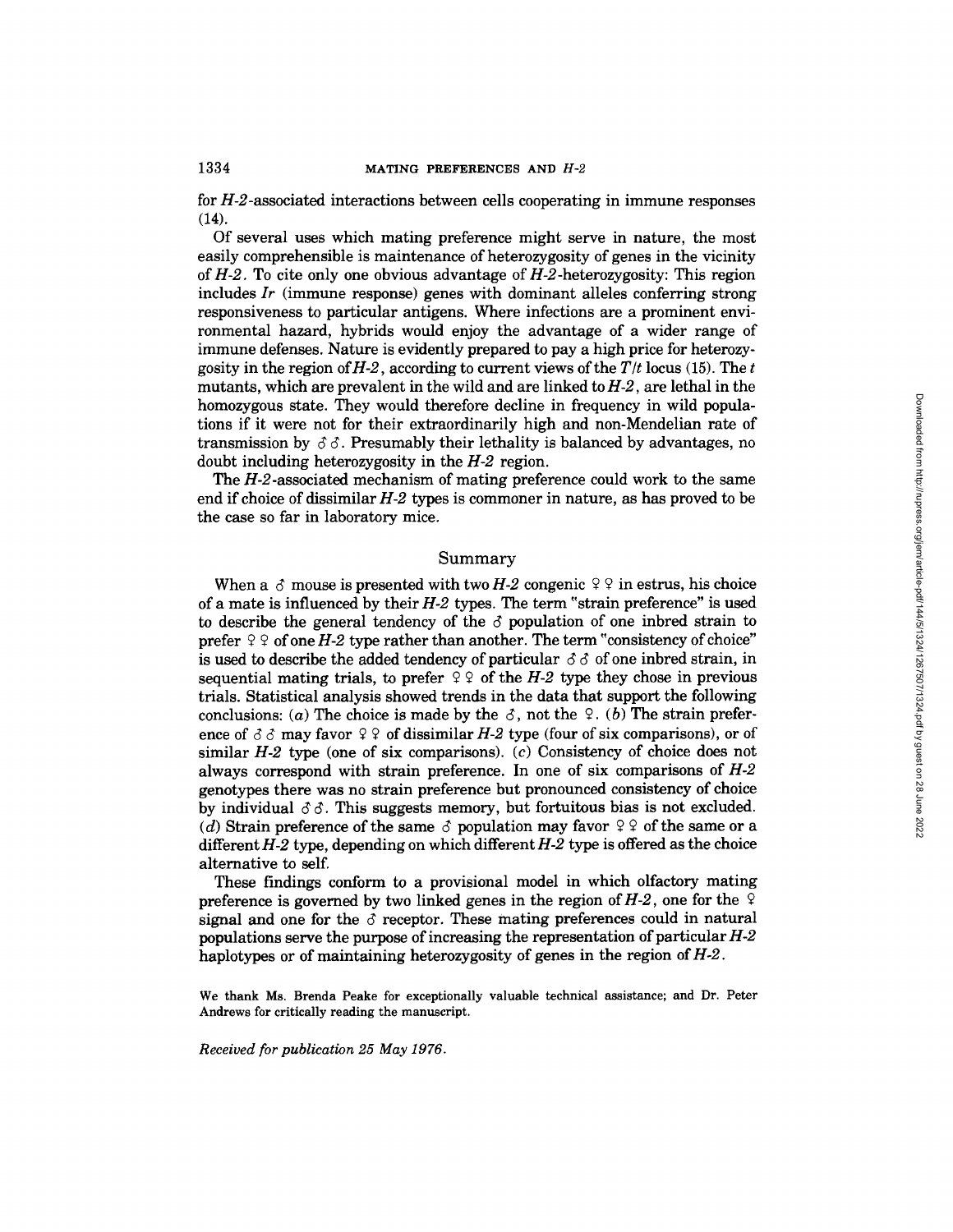for H-2-associated interactions between cells cooperating in immune responses  $(14)$ .

Of several uses which mating preference might serve in nature, the most easily comprehensible is maintenance of heterozygosity of genes in the vicinity *of H-2.* To cite only one obvious advantage of H-2-heterozygosity: This region includes *Ir* (immune response) genes with dominant alleles conferring strong responsiveness to particular antigens. Where infections are a prominent environmental hazard, hybrids would enjoy the advantage of a wider range of immune defenses. Nature is evidently prepared to pay a high price for heterozygosity in the region of  $H-2$ , according to current views of the  $T/t$  locus (15). The t mutants, which are prevalent in the wild and are linked to *H-2,* are lethal in the homozygous state. They would therefore decline in frequency in wild populations if it were not for their extraordinarily high and non-Mendelian rate of transmission by  $\delta\delta$ . Presumably their lethality is balanced by advantages, no doubt including heterozygosity in the *H-2* region.

The *H-2-associated* mechanism of mating preference could work to the same end if choice of dissimilar *H-2* types is commoner in nature, as has proved to be the case so far in laboratory mice.

#### Summary

When a  $\delta$  mouse is presented with two *H-2* congenic  $\delta \rho$  in estrus, his choice of a mate is influenced by their  $H-2$  types. The term "strain preference" is used to describe the general tendency of the  $\delta$  population of one inbred strain to prefer  $99$  of one *H-2* type rather than another. The term "consistency of choice" is used to describe the added tendency of particular  $\delta \delta$  of one inbred strain, in sequential mating trials, to prefer  $99$  of the *H-2* type they chose in previous trials. Statistical analysis showed trends in the data that support the following conclusions: (a) The choice is made by the  $\delta$ , not the  $\delta$ . (b) The strain preference of  $\delta \delta$  may favor  $\varphi \varphi$  of dissimilar *H-2* type (four of six comparisons), or of similar *H-2* type (one of six comparisons). (c) Consistency of choice does not always correspond with strain preference. In one of six comparisons of *H-2*  genotypes there was no strain preference but pronounced consistency of choice by individual  $\delta \delta$ . This suggests memory, but fortuitous bias is not excluded. (d) Strain preference of the same  $\delta$  population may favor  $99$  of the same or a different *H-2* type, depending on which different *H-2* type is offered as the choice alternative to self.

These findings conform to a provisional model in which olfactory mating preference is governed by two linked genes in the region of  $H-2$ , one for the  $\sqrt{2}$ signal and one for the  $\delta$  receptor. These mating preferences could in natural populations serve the purpose of increasing the representation of particular *H-2*  haplotypes or of maintaining heterozygosity of genes in the region *of H-2.* 

We thank Ms. Brenda Peake for exceptionally valuable technical assistance; and Dr. Peter Andrews for critically reading the manuscript.

*Received for publication 25 May 1976.*